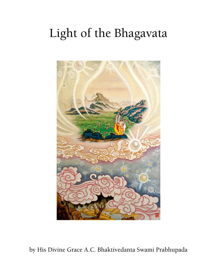## Light of the Bhagavata



by His Divine Grace A.C. Bhaktivedanta Swami Prabhupada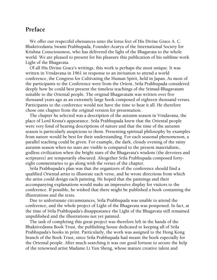## **Preface**

 We offer our respectful obeisances unto the lotus feet of His Divine Grace A. C. Bhaktivedanta Swami Prabhupada, Founder-Acarya of the International Society for Krishna Consciousness, who has delivered the light of the Bhagavata to the whole world. We are pleased to present for his pleasure this publication of his sublime work Light of the Bhagavata.

 Of all His Divine Grace's writings, this work is perhaps the most unique. It was written in Vrndavana in 1961 in response to an invitation to attend a world conference, the Congress for Cultivating the Human Spirit, held in Japan. As most of the participants to the Conference were from the Orient, Srila Prabhupada considered deeply how he could best present the timeless teachings of the Srimad-Bhagavatam suitable to the Oriental people. The original Bhagavatam was written over five thousand years ago as an extremely large book composed of eighteen thousand verses. Participants to the conference would not have the time to hear it all. He therefore chose one chapter from the original version for presentation.

 The chapter he selected was a description of the autumn season in Vrndavana, the place of Lord Krsna's appearance. Srila Prabhupada knew that the Oriental people were very fond of hearing descriptions of nature and that the time of the autumn season is particularly auspicious to them. Presenting spiritual philosophy by examples from nature would be best for their understanding. For each seasonal phenomenon, a parallel teaching could be given. For example, the dark, cloudy evening of the rainy autumn season when no stars are visible is compared to the present materialistic, godless civilization when the bright stars of the Bhagavata's wisdom (the devotees and scriptures) are temporarily obscured. Altogether Srila Prabhupada composed fortyeight commentaries to go along with the verses of the chapter.

 Srila Prabhupada's plan was that the organizers of the conference should find a qualified Oriental artist to illustrate each verse, and he wrote directions from which the artist could design each painting. He hoped that the paintings and their accompanying explanations would make an impressive display for visitors to the conference. If possible, he wished that there might be published a book containing the illustrations and the texts.

 Due to unfortunate circumstances, Srila Prabhupada was unable to attend the conference, and the whole project of Light of the Bhagavata was postponed. In fact, at the time of Srila Prabhupada's disappearance the Light of the Bhagavata still remained unpublished and the illustrations not yet painted.

 The task of completing this great project was therefore left in the hands of the Bhaktivedanta Book Trust, the publishing house dedicated to keeping all of Srila Prabhupada's books in print. Particularly, the work was assigned to the Hong Kong branch of the Book Trust, since Srila Prabhupada had meant the book especially for the Oriental people. After much searching it was our good fortune to secure the help of the renowned artist Madame Li Yun Sheng, whose mature creative talent and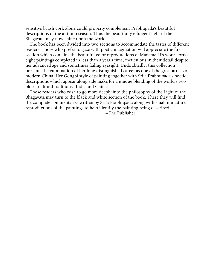sensitive brushwork alone could properly complement Prabhupada's beautiful descriptions of the autumn season. Thus the beautifully effulgent light of the Bhagavata may now shine upon the world.

 The book has been divided into two sections to accommodate the tastes of different readers. Those who prefer to gaze with poetic imagination will appreciate the first section which contains the beautiful color reproductions of Madame Li's work, fortyeight paintings completed in less than a year's time, meticulous in their detail despite her advanced age and sometimes failing eyesight. Undoubtedly, this collection presents the culmination of her long distinguished career as one of the great artists of modern China. Her Gongbi style of painting together with Srila Prabhupada's poetic descriptions which appear along side make for a unique blending of the world's two oldest cultural traditions--India and China.

 Those readers who wish to go more deeply into the philosophy of the Light of the Bhagavata may turn to the black and white section of the book. There they will find the complete commentaries written by Srila Prabhupada along with small miniature reproductions of the paintings to help identify the painting being described.

--The Publisher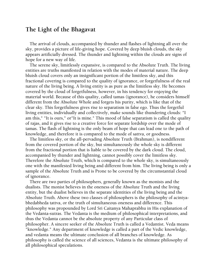## **The Light of the Bhagavat**

 The arrival of clouds, accompanied by thunder and flashes of lightning all over the sky, provides a picture of life-giving hope. Covered by deep bluish clouds, the sky appears artificially dressed. The thunder and lightning within the clouds are signs of hope for a new way of life.

 The serene sky, limitlessly expansive, is compared to the Absolute Truth. The living entities are truths manifested in relation with the modes of material nature. The deep bluish cloud covers only an insignificant portion of the limitless sky, and this fractional covering is compared to the quality of ignorance, or forgetfulness of the real nature of the living being. A living entity is as pure as the limitless sky. He becomes covered by the cloud of forgetfulness, however, in his tendency for enjoying the material world. Because of this quality, called tamas (ignorance), he considers himself different from the Absolute Whole and forgets his purity, which is like that of the clear sky. This forgetfulness gives rise to separatism in false ego. Thus the forgetful living entities, individually and collectively, make sounds like thundering clouds: "I am this," "It is ours," or"It is mine." This mood of false separatism is called the quality of rajas, and it gives rise to a creative force for separate lordship over the mode of tamas. The flash of lightning is the only beam of hope that can lead one to the path of knowledge, and therefore it is compared to the mode of sattva, or goodness.

 The limitless sky, or the all-pervading Absolute Truth (Brahman), is nondifferent from the covered portion of the sky, but simultaneously the whole sky is different from the fractional portion that is liable to be covered by the dark cloud. The cloud, accompanied by thunder and lightning, cannot possibly cover the limitless sky. Therefore the Absolute Truth, which is compared to the whole sky, is simultaneously one with the manifested living being and different from him. The living being is only a sample of the Absolute Truth and is Prone to be covered by the circumstantial cloud of ignorance.

 There are two parties of philosophers, generally known as the monists and the dualists. The monist believes in the oneness of the Absolute Truth and the living entity, but the dualist believes in the separate identities of the living being and the Absolute Truth. Above these two classes of philosophers is the philosophy of acintyabhedabheda tattva, or the truth of simultaneous oneness and difference. This philosophy was propounded by Lord Sri Caitanya Mahaprabhu in His explanation of the Vedanta-sutras. The Vedanta is the medium of philosophical interpretations, and thus the Vedanta cannot be the absolute property of any Particular class of philosopher. A sincere seeker of the Absolute Truth is called a Vedantist. Veda means "knowledge." Any department of knowledge is called a part of the Vedic knowledge, and vedanta means the ultimate conclusion of all branches of knowledge. As philosophy is called the science of all sciences, Vedanta is the ultimate philosophy of all philosophical speculations.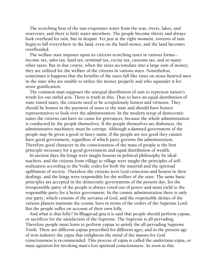The scorching heat of the sun evaporates water from the seas, rivers, lakes, and reservoirs, and there is little water anywhere. The people become thirsty and always look overhead for rain, but in despair. Yet just at the right moment, torrents of rain begin to fall everywhere in the land, even on the hard stones, and the land becomes overflooded.

 The welfare state imposes upon its citizens scorching taxes in various forms- income tax, sales tax, land tax, terminal tax, excise tax, customs tax, and so many other taxes. But in due course, when the taxes accumulate into a large sum of money, they are utilized for the welfare of the citizens in various ways. Nonetheless, sometimes it happens that the benefits of the taxes fall like rains on stone-hearted men in the state who are unable to utilize the money properly and who squander it for sense gratification.

 The common man supposes the unequal distribution of rain to represent nature's wrath for our sinful acts. There is truth in this. Thus to have an equal distribution of state-raised taxes, the citizens need to be scrupulously honest and virtuous. They should be honest in the payment of taxes to the state and should have honest representatives to look over the administration. In the modern setup of democratic states the citizens can have no cause for grievances, because the whole administration is conducted by the people themselves. If the people themselves are dishonest, the administrative machinery must be corrupt. Although a damned government of the people may be given a good or fancy name, if the people are not good they cannot have good government, regardless of which party governs the administration. Therefore good character in the consciousness of the mass of people is the first principle necessary for a good government and equal distribution of wealth.

 In ancient days the kings were taught lessons in political philosophy by ideal teachers, and the citizens from village to village were taught the principles of selfrealization according to the Vedic codes for both the material and the spiritual upliftment of society. Therefore the citizens were God conscious and honest in their dealings, and the kings were responsible for the welfare of the state. The same basic principles are accepted in the democratic governments of the present day, for the irresponsible party of the people is always voted out of power and must yield to the responsible party for a better government. In the cosmic administration there is only one party, which consists of the servants of God, and the responsible deities of the various planets maintain the cosmic laws in terms of the orders of the Supreme Lord. But the people suffer on account of their own folly.

 And what is that folly? In Bhagavad-gita it is said that people should perform yajnas, or sacrifices for the satisfaction of the Supreme. The Supreme is all-pervading. Therefore people must learn to perform yajnas to satisfy the all-pervading Supreme Truth. There are different yajnas prescribed for different ages, and in the present age of iron industry the yajna that enlightens the mind of the masses for God consciousness is recommended. This process of yajna is called the sankirtana-yajna, or mass agitation for invoking man's lost spiritual consciousness. As soon as this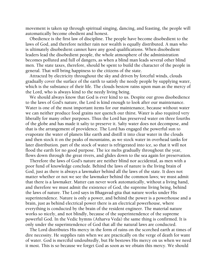movement is taken up through spiritual singing, dancing, and feasting, the people will automatically become obedient and honest.

 Obedience is the first law of discipline. The people have become disobedient to the laws of God, and therefore neither rain nor wealth is equally distributed. A man who is ultimately disobedient cannot have any good qualifications. When disobedient leaders lead the disobedient people, the whole atmosphere of the administration becomes polluted and full of dangers, as when a blind man leads several other blind men. The state taxes, therefore, should be spent to build the character of the people in general. That will bring happiness to the citizens of the state.

 Attracted by electricity throughout the sky and driven by forceful winds, clouds gradually cover the surface of the earth to satisfy the needy people by supplying water, which is the substance of their life. The clouds bestow rains upon man as the mercy of the Lord, who is always kind to the needy living being.

 We should always know that God is ever kind to us. Despite our gross disobedience to the laws of God's nature, the Lord is kind enough to look after our maintenance. Water is one of the most important items for our maintenance, because without water we can neither produce food grains nor quench our thirst. Water is also required very liberally for many other purposes. Thus the Lord has preserved water on three fourths of the globe and has made it salty to preserve it. Salty water does not decompose, and that is the arrangement of providence. The Lord has engaged the powerful sun to evaporate the water of planets like earth and distill it into clear water in the clouds and then stock it on the peaks of mountains, as we stock water in overhead tanks for later distribution. part of the stock of water is refrigerated into ice, so that it will not flood the earth for no good purpose. The ice melts gradually throughout the year, flows down through the great rivers, and glides down to the sea again for preservation.

 Therefore the laws of God's nature are neither blind nor accidental, as men with a poor fund of knowledge conclude. Behind the laws of nature is the living brain of God, just as there is always a lawmaker behind all the laws of the state. It does not matter whether or not we see the lawmaker behind the common laws; we must admit that there is a lawmaker. Matter can never work automatically, without a living hand, and therefore we must admit the existence of God, the supreme living being, behind the laws of nature. The Lord says in Bhagavad-gita that nature works under His superintendence. Nature is only a power, and behind the power is a powerhouse and a brain, just as behind electrical power there is an electrical powerhouse, where everything is conducted by the brain of the resident engineer. The material nature works so nicely, and not blindly, because of the superintendence of the supreme powerful God. In the Vedic hymns (Atharva Veda) the same thing is confirmed. It is only under the superintendence of God that all the natural laws are conducted.

 The Lord distributes His mercy in the form of rains on the scorched earth at times of dire necessity. He supplies rain when we are practically on the verge of death for want of water. God is merciful undoubtedly, but He bestows His mercy on us when we need it most. This is so because we forget God as soon as we obtain this mercy. We should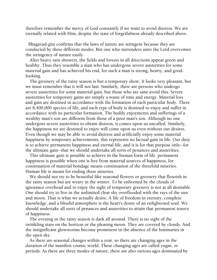therefore remember the mercy of God constantly if we want to avoid distress. We are eternally related with Him, despite the state of forgetfulness already described above.

 Bhagavad-gita confirms that the laws of nature are stringent because they are conducted by three different modes. But one who surrenders unto the Lord overcomes the stringency of nature easily.

 After heavy rain showers, the fields and forests in all directions appear green and healthy. Thus they resemble a man who has undergone severe austerities for some material gain and has achieved his end, for such a man is strong, hearty, and goodlooking.

 The greenery of the rainy season is but a temporary show. It looks very pleasant, but we must remember that it will not last. Similarly, there are persons who undergo severe austerities for some material gain, but those who are sane avoid this. Severe austerities for temporary gains are simply a waste of time and energy. Material loss and gain are destined in accordance with the formation of each particular body. There are 8,400,000 species of life, and each type of body is destined to enjoy and suffer in accordance with its particular formation. The bodily enjoyments and sufferings of a wealthy man's son are different from those of a poor man's son. Although no one undergoes severe austerities to obtain distress, it comes upon us uncalled. Similarly, the happiness we are destined to enjoy will come upon us even without our desires. Even though we may be able to avoid distress and artificially enjoy some material happiness by temporary achievements, this represents no factual gain in life. Our duty is to achieve permanent happiness and eternal life, and it is for that purpose only--for the ultimate gain--that we should undertake all sorts of penances and austerities.

 This ultimate gain is possible to achieve in the human form of life. permanent happiness is possible when one is free from material sources of happiness, for continuation of material bondage means continuation of the threefold miseries. Human life is meant for ending these miseries.

 We should not try to be beautiful like seasonal flowers or greenery that flourish in the rainy season but are weary in the winter. To be enlivened by the clouds of ignorance overhead and to enjoy the sight of temporary greenery is not at all desirable. One should try to live in the unlimited clear sky overflooded with the rays of the sun and moon. That is what we actually desire. A life of freedom in eternity, complete knowledge, and a blissful atmosphere is the heart's desire of an enlightened soul. We should undertake all sorts of penances and austerities to attain that permanent source of happiness.

 The evening in the rainy season is dark all around. There is no sight of the twinkling stars on the horizon or the pleasing moon. They are covered by clouds. And the insignificant glowworms become prominent in the absence of the luminaries in the open sky.

 As there are seasonal changes within a year, so there are changing ages in the duration of the manifest cosmic world. These changing ages are called yugas, or periods. As there are three modes of nature, there are also various ages dominated by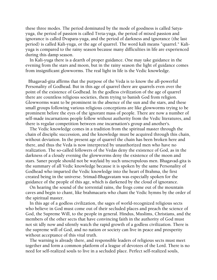these three modes. The period dominated by the mode of goodness is called Satyayuga, the period of passion is called Treta-yuga, the period of mixed passion and ignorance is called Dvapara-yuga, and the period of darkness and ignorance (the last period) is called Kali-yuga, or the age of quarrel. The word kali means "quarrel." Kaliyuga is compared to the rainy season because many difficulties in life are experienced during this damp season.

 In Kali-yuga there is a dearth of proper guidance. One may take guidance in the evening from the stars and moon, but in the rainy season the light of guidance comes from insignificant glowworms. The real light in life is the Vedic knowledge.

 Bhagavad-gita affirms that the purpose of the Veda is to know the all-powerful Personality of Godhead. But in this age of quarrel there are quarrels even over the point of the existence of Godhead. In the godless civilization of the age of quarrel there are countless religious societies, them trying to banish God from religion. Glowworms want to be prominent in the absence of the sun and the stars, and these small groups following various religious conceptions are like glowworms trying to be prominent before the eyes of the ignorant mass of people. There are now a number of self-made incarnations people follow without authority from the Vedic literatures, and there is regular competition between one incarnation's group and another's.

 The Vedic knowledge comes in a tradition from the spiritual master through the chain of disciplic succession, and the knowledge must be acquired through this chain, without deviation. In the present age of quarrel the chain has been broken here and there, and thus the Veda is now interpreted by unauthorized men who have no realization. The so-called followers of the Vedas deny the existence of God, as in the darkness of a cloudy evening the glowworms deny the existence of the moon and stars. Saner people should not be waylaid by such unscrupulous men. Bhagavad-gita is the summary of all Vedic knowledge because it is spoken by the same Personality of Godhead who imparted the Vedic knowledge into the heart of Brahma, the first created being in the universe. Srimad-Bhagavatam was especially spoken for the guidance of the people of this age, which is darkened by the cloud of ignorance.

 On hearing the sound of the torrential rains, the frogs come out of the mountain caves and begin to chant, like brahmacaris who chant the Vedic hymns by the order of the spiritual master.

 In this age of a godless civilization, the sages of world-recognized religious sects who believe in God must come out of their secluded places and preach the science of God, the Supreme Will, to the people in general. Hindus, Muslims, Christians, and the members of the other sects that have convincing faith in the authority of God must not sit idly now and silently watch the rapid growth of a godless civilization. There is the supreme will of God, and no nation or society can live in peace and prosperity without acceptance of this vital truth.

 The warning is already there, and responsible leaders of religious sects must meet together and form a common platform of a league of devotees of the Lord. There is no need for self-realized souls to live in a secluded place. Perfect self-realized souls,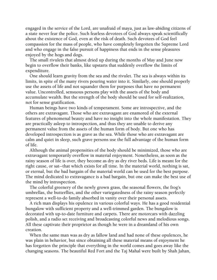engaged in the service of the Lord, are unafraid of maya, just as law-abiding citizens of a state never fear the police. Such fearless devotees of God always speak scientifically about the existence of God, even at the risk of death. Such devotees of God feel compassion for the mass of people, who have completely forgotten the Supreme Lord and who engage in the false pursuit of happiness that ends in the sense pleasures enjoyed by the hogs and dogs.

 The small rivulets that almost dried up during the months of May and June now begin to overflow their banks, like upstarts that suddenly overflow the limits of expenditure.

 One should learn gravity from the sea and the rivulet. The sea is always within its limits, in spite of the many rivers pouring water into it. Similarly, one should properly use the assets of life and not squander them for purposes that have no permanent value. Uncontrolled, sensuous persons play with the assets of the body and accumulate wealth. But the strength of the body should be used for self-realization, not for sense gratification.

 Human beings have two kinds of temperament. Some are introspective, and the others are extravagant. Those who are extravagant are enamored of the external features of phenomenal beauty and have no insight into the whole manifestation. They are practically asleep to introspection, and thus they are unable to derive any permanent value from the assets of the human form of body. But one who has developed introspection is as grave as the sea. While those who are extravagant are calm and quiet in sleep, such grave persons use the full advantage of the human form of life.

 Although the animal propensities of the body should be minimized, those who are extravagant temporarily overflow in material enjoyment. Nonetheless, as soon as the rainy season of life is over, they become as dry as dry river beds. Life is meant for the right cause, or sat--that which exists for all time. In the material world, nothing is sat, or eternal, but the bad bargain of the material world can be used for the best purpose. The mind dedicated to extravagance is a bad bargain, but one can make the best use of the mind by introspection.

 The colorful greenery of the newly grown grass, the seasonal flowers, the frog's umbrellas, the butterflies, and the other variegatedness of the rainy season perfectly represent a well-to-do family absorbed in vanity over their personal assets.

 A rich man displays his opulence in various colorful ways. He has a good residential bungalow with sufficient property and a well-trimmed garden. The bungalow is decorated with up-to-date furniture and carpets. There are motorcars with dazzling polish, and a radio set receiving and broadcasting colorful news and melodious songs. All these captivate their proprietor as though he were in a dreamland of his own creation.

 When the same man was as dry as fallow land and had none of these opulences, he was plain in behavior, but since obtaining all these material means of enjoyment he has forgotten the principle that everything in the world comes and goes away like the changing seasons. The beautiful Red Fort and the Taj Mahal were built by Shah Jahan,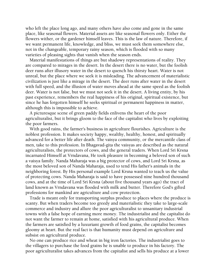who left the place long ago, and many others have also come and gone in the same place, like seasonal flowers. Material assets are like seasonal flowers only. Either the flowers wither, or the gardener himself leaves. This is the law of nature. Therefore, if we want permanent life, knowledge, and bliss, we must seek them somewhere else, not in the changeable, temporary rainy season, which is flooded with so many varieties of pleasing sights that vanish when the season ends.

 Material manifestations of things are but shadowy representations of reality. They are compared to mirages in the desert. In the desert there is no water, but the foolish deer runs after illusory water in the desert to quench his thirsty heart. Water is not unreal, but the place where we seek it is misleading. The advancement of materialistic civilization is just like a mirage in the desert. The deer runs after water in the desert with full speed, and the illusion of water moves ahead at the same speed as the foolish deer. Water is not false, but we must not seek it in the desert. A living entity, by his past experience, remembers the real happiness of his original, spiritual existence, but since he has forgotten himself he seeks spiritual or permanent happiness in matter, although this is impossible to achieve.

 A picturesque scene of green paddy fields enlivens the heart of the poor agriculturalist, but it brings gloom to the face of the capitalist who lives by exploiting the poor farmers.

 With good rains, the farmer's business in agriculture flourishes. Agriculture is the noblest profession. It makes society happy, wealthy, healthy, honest, and spiritually advanced for a better life after death. The vaisya community, or the mercantile class of men, take to this profession. In Bhagavad-gita the vaisyas are described as the natural agriculturalists, the protectors of cows, and the general traders. When Lord Sri Krsna incarnated Himself at Vrndavana, He took pleasure in becoming a beloved son of such a vaisya family. Nanda Maharaja was a big protector of cows, and Lord Sri Krsna, as the most beloved son of Nanda Maharaja, used to tend His father's animals in the neighboring forest. By His personal example Lord Krsna wanted to teach us the value of protecting cows. Nanda Maharaja is said to have possessed nine hundred thousand cows, and at the time of Lord Sri Krsna (about five thousand years ago) the tract of land known as Vrndavana was flooded with milk and butter. Therefore God's gifted professions for mankind are agriculture and cow protection.

 Trade is meant only for transporting surplus produce to places where the produce is scanty. But when traders become too greedy and materialistic they take to large-scale commerce and industry and allure the poor agriculturalist to unsanitary industrial towns with a false hope of earning more money. The industrialist and the capitalist do not want the farmer to remain at home, satisfied with his agricultural produce. When the farmers are satisfied by a luxuriant growth of food grains, the capitalist becomes gloomy at heart. But the real fact is that humanity must depend on agriculture and subsist on agricultural produce.

 No one can produce rice and wheat in big iron factories. The industrialist goes to the villagers to purchase the food grains he is unable to produce in his factory. The poor agriculturalist takes advances from the capitalist and sells his produce at a lower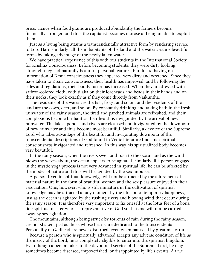price. Hence when food grains are produced abundantly the farmers become financially stronger, and thus the capitalist becomes morose at being unable to exploit them.

 Just as a living being attains a transcendentally attractive form by rendering service to Lord Hari, similarly, all the in habitants of the land and the water assume beautiful forms by taking advantage of the newly fallen water.

 We have practical experience of this with our students in the International Society for Krishna Consciousness. Before becoming students, they were dirty looking, although they had naturally beautiful personal features; but due to having no information of Krsna consciousness they appeared very dirty and wretched. Since they have taken to Krsna consciousness, their health has improved, and by following the rules and regulations, their bodily luster has increased. When they are dressed with saffron-colored cloth, with tilaka on their foreheads and beads in their hands and on their necks, they look exactly as if they come directly from Vaikuntha.

 The residents of the water are the fish, frogs, and so on, and the residents of the land are the cows, deer, and so on. By constantly drinking and taking bath in the fresh rainwater of the rainy season, the tired and parched animals are refreshed, and their complexions become brilliant as their health is invigorated by the arrival of new rainwater. The lakes, ponds, and rivers are cleansed and invigorated by the downpour of new rainwater and thus become most beautiful. Similarly, a devotee of the Supreme Lord who takes advantage of the beautiful and invigorating downpour of the transcendental descriptions of God found in Vedic literature finds his spiritual consciousness invigorated and refreshed. In this way his spiritualized body becomes very beautiful.

 In the rainy season, when the rivers swell and rush to the ocean, and as the wind blows the waves about, the ocean appears to be agitated. Similarly, if a person engaged in the mystic yoga process is not very advanced in spiritual life, he can be affected by the modes of nature and thus will be agitated by the sex impulse.

 A person fixed in spiritual knowledge will not be attracted by the allurement of material nature in the form of beautiful women and the sex pleasure enjoyed in their association. One, however, who is still immature in the cultivation of spiritual knowledge may be attracted at any moment by the illusion of temporary happiness, just as the ocean is agitated by the rushing rivers and blowing wind that occur during the rainy season. It is therefore very important to fix oneself at the lotus feet of a bona fide spiritual master who is a representative of God so that one will not be carried away by sex agitation.

 The mountains, although being struck by torrents of rain during the rainy season, are not shaken, just as those whose hearts are dedicated to the transcendental Personality of Godhead are never disturbed, even when harassed by great misfortune.

 Because a person who is spiritually advanced accepts any adverse condition of life as the mercy of the Lord, he is completely eligible to enter into the spiritual kingdom. Even though a person takes to the devotional service of the Supreme Lord, he may sometimes become diseased, impoverished, or disappointed by life's events. A true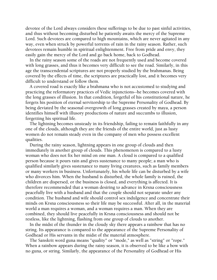devotee of the Lord always considers these sufferings to be due to past sinful activities, and thus without becoming disturbed he patiently awaits the mercy of the Supreme Lord. Such devotees are compared to high mountains, which are never agitated in any way, even when struck by powerful torrents of rain in the rainy season. Rather, such devotees remain humble in spiritual enlightenment. Free from pride and envy, they easily gain the mercy of the Lord and go back home, back to Godhead.

 In the rainy season some of the roads are not frequently used and become covered with long grasses, and thus it becomes very difficult to see the road. Similarly, in this age the transcendental scriptures are not properly studied by the brahmanas. Being covered by the effects of time, the scriptures are practically lost, and it becomes very difficult to understand or follow them.

 A covered road is exactly like a brahmana who is not accustomed to studying and practicing the reformatory practices of Vedic injunctions--he becomes covered with the long grasses of illusion. In that condition, forgetful of his constitutional nature, he forgets his position of eternal servitorship to the Supreme Personality of Godhead. By being deviated by the seasonal overgrowth of long grasses created by maya, a person identifies himself with illusory productions of nature and succumbs to illusion, forgetting his spiritual life.

 The lightning becomes unsteady in its friendship, failing to remain faithfully in any one of the clouds, although they are the friends of the entire world, just as lusty women do not remain steady even in the company of men who possess excellent qualities.

 During the rainy season, lightning appears in one group of clouds and then immediately in another group of clouds. This phenomenon is compared to a lusty woman who does not fix her mind on one man. A cloud is compared to a qualified person because it pours rain and gives sustenance to many people; a man who is qualified similarly gives sustenance to many living creatures, such as family members or many workers in business. Unfortunately, his whole life can be disturbed by a wife who divorces him. When the husband is disturbed, the whole family is ruined, the children are dispersed, or the business is closed, and everything is affected. It is therefore recommended that a woman desiring to advance in Krsna consciousness peacefully live with a husband and that the couple should not separate under any condition. The husband and wife should control sex indulgence and concentrate their minds on Krsna consciousness so their life may be successful. After all, in the material world a man requires a woman, and a woman requires a man. When they are combined, they should live peacefully in Krsna consciousness and should not be restless, like the lightning, flashing from one group of clouds to another.

 In the midst of the thunder in the cloudy sky there appears a rainbow that has no string. Its appearance is compared to the appearance of the Supreme Personality of Godhead or His servants in the midst of the material atmosphere.

 The Sanskrit word guna means "quality" or "mode," as well as "string" or "rope." When a rainbow appears during the rainy season, it is observed to be like a bow with no guna, or string. Similarly, the appearance of the Personality of Godhead or His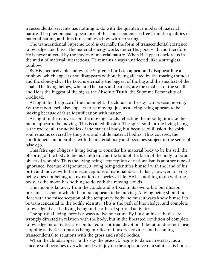transcendental servants has nothing to do with the qualitative modes of material nature. The phenomenal appearance of the Transcendence is free from the qualities of material nature, and thus it resembles a bow with no string.

 The transcendental Supreme Lord is eternally the form of transcendental existence, knowledge, and bliss. The material energy works under His good will, and therefore He is never affected by the modes of material nature. When He appears before us in the midst of material interactions, He remains always unaffected, like a stringless rainbow.

 By His inconceivable energy, the Supreme Lord can appear and disappear like a rainbow, which appears and disappears without being affected by the roaring thunder and the cloudy sky. The Lord is eternally the biggest of the big and the smallest of the small. The living beings, who are His parts and parcels, are the smallest of the small, and He is the biggest of the big as the Absolute Truth, the Supreme Personality of Godhead.

 At night, by the grace of the moonlight, the clouds in the sky can be seen moving. Yet the moon itself also appears to be moving, just as a living being appears to be moving because of false identification with matter.

 At night in the rainy season the moving clouds reflecting the moonlight make the moon appear to be moving. This is called illusion. The spirit soul, or the living being, is the root of all the activities of the material body, but because of illusion the spirit soul remains covered by the gross and subtle material bodies. Thus covered, the conditioned soul identifies with the material body and becomes subject to the sense of false ego.

 This false ego obliges a living being to consider his material body to be his self, the offspring of the body to be his children, and the land of the birth of the body to be an object of worship. Thus the living being's conception of nationalism is another type of ignorance. Because of ignorance, a living being identifies himself with the land of his birth and moves with the misconceptions of national ideas. In fact, however, a living being does not belong to any nation or species of life. He has nothing to do with the body, as the moon has nothing to do with the moving clouds.

 The moon is far away from the clouds and is fixed in its own orbit, but illusion presents a scene in which the moon appears to be moving. A living being should not float with the misconception of the temporary body; he must always know himself to be transcendental to the bodily identity. This is the path of knowledge, and complete knowledge fixes the living being in the orbit of spiritual activities.

 The spiritual living force is always active by nature. By illusion his activities are wrongly directed in relation with the body, but in the liberated condition of complete knowledge his activities are conducted in spiritual devotion. Liberation does not mean stopping activities; it means being purified of illusory activities and becoming transcendental to relations with the gross and subtle bodies.

 When the clouds appear in the sky the peacock begins to dance in ecstasy, as a sincere soul becomes overwhelmed with joy on the appearance of a saint at his house.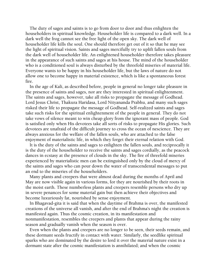The duty of sages and saints is to go from door to door and thus enlighten the householders in spiritual knowledge. Householder life is compared to a dark well. In a dark well the frog cannot see the free light of the open sky. The dark well of householder life kills the soul. One should therefore get out of it so that he may see the light of spiritual vision. Saints and sages mercifully try to uplift fallen souls from the dark well of householder life. An enlightened householder therefore takes pleasure in the appearance of such saints and sages at his house. The mind of the householder who is a conditioned soul is always disturbed by the threefold miseries of material life. Everyone wants to be happy in his householder life, but the laws of nature do not allow one to become happy in material existence, which is like a spontaneous forest fire.

 In the age of Kali, as described before, people in general no longer take pleasure in the presence of saints and sages, nor are they interested in spiritual enlightenment. The saints and sages, however, take all risks to propagate the message of Godhead. Lord Jesus Christ, Thakura Haridasa, Lord Nityananda Prabhu, and many such sages risked their life to propagate the message of Godhead. Self-realized saints and sages take such risks for the spiritual enlightenment of the people in general. They do not take vows of silence meant to win cheap glory from the ignorant mass of people. God is satisfied only when His devotees take all sorts of risks to propagate His glories. Such devotees are unafraid of the difficult journey to cross the ocean of nescience. They are always anxious for the welfare of the fallen souls, who are attached to the false enjoyment of materialistic life, in which they forget their eternal relation with God.

 It is the duty of the saints and sages to enlighten the fallen souls, and reciprocally it is the duty of the householder to receive the saints and sages cordially, as the peacock dances in ecstasy at the presence of clouds in the sky. The fire of threefold miseries experienced by materialistic men can be extinguished only by the cloud of mercy of the saints and sages who can pour down the water of transcendental messages to put an end to the miseries of the householders.

 Many plants and creepers that were almost dead during the months of April and May are now visible again in various forms, for they are nourished by their roots in the moist earth. These numberless plants and creepers resemble persons who dry up in severe penances for some material gain but then achieve their objectives and become luxuriously fat, nourished by sense enjoyment.

 In Bhagavad-gita it is said that when the daytime of Brahma is over, the manifested creations of the universe all vanish, and after the end of Brahma's night the creation is manifested again. Thus the cosmic creation, in its manifestation and nonmanifestation, resembles the creepers and plants that appear during the rainy season and gradually vanish when the season is over.

 Even when the plants and creepers are no longer to be seen, their seeds remain, and these dormant seeds fructify in contact with water. Similarly, the seedlike spiritual sparks who are dominated by the desire to lord it over the material nature exist in a dormant state after the cosmic manifestation is annihilated; and when the cosmic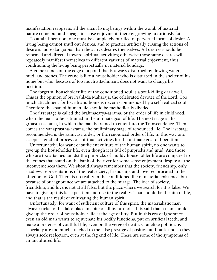manifestation reappears, all the silent living beings within the womb of material nature come out and engage in sense enjoyment, thereby growing luxuriously fat.

 To attain liberation, one must be completely purified of perverted forms of desire. A living being cannot snuff out desires, and to practice artificially erasing the actions of desire is more dangerous than the active desires themselves. All desires should be reformed and directed toward spiritual activities; otherwise those same desires will repeatedly manifest themselves in different varieties of material enjoyment, thus conditioning the living being perpetually in material bondage.

 A crane stands on the edge of a pond that is always disturbed by flowing water, mud, and stones. The crane is like a householder who is disturbed in the shelter of his home but who, because of too much attachment, does not want to change his position.

 The forgetful householder life of the conditioned soul is a soul-killing dark well. This is the opinion of Sri Prahlada Maharaja, the celebrated devotee of the Lord. Too much attachment for hearth and home is never recommended by a self-realized soul. Therefore the span of human life should be methodically divided.

 The first stage is called the brahmacarya-asrama, or the order of life in childhood, when the man-to-be is trained in the ultimate goal of life. The next stage is the grhastha-asrama, in which the man is trained to enter into the Transcendence. Then comes the vanaprastha-asrama, the preliminary stage of renounced life. The last stage recommended is the sannyasa order, or the renounced order of life. In this way one accepts a gradual process of spiritual activities for the ultimate goal of liberation.

 Unfortunately, for want of sufficient culture of the human spirit, no one wants to give up the householder life, even though it is full of pinpricks and mud. And those who are too attached amidst the pinpricks of muddy householder life are compared to the cranes that stand on the bank of the river for some sense enjoyment despite all the inconveniences there. We should always remember that the society, friendship, only shadowy representations of the real society, friendship, and love reciprocated in the kingdom of God. There is no reality in the conditioned life of material existence, but because of our ignorance we are attached to the mirage. The idea of society, friendship, and love is not at all false, but the place where we search for it is false. We have to give up this false position and rise to the reality. That should be the aim of life, and that is the result of cultivating the human spirit.

 Unfortunately, for want of sufficient culture of this spirit, the materialistic man always sticks to this false place in spite of all its turmoils. It is said that a man should give up the order of householder life at the age of fifty. But in this era of ignorance even an old man wants to rejuvenate his bodily functions, put on artificial teeth, and make a pretense of youthful life, even on the verge of death. Cranelike politicians especially are too much attached to the false prestige of position and rank, and so they always seek reelection, even at the fag end of life. These are some of the symptoms of an uncultured life.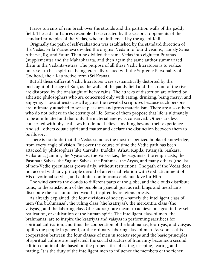Fierce torrents of rain break over the strands and the partition walls of the paddy field. These disturbances resemble those created by the seasonal opponents of the standard principles of the Vedas, who are influenced by the age of Kali.

 Originally the path of self-realization was established by the standard direction of the Vedas. Srila Vyasadeva divided the original Veda into four divisions, namely Sama, Atharva, Rg, and Yajur. Then he divided the same Vedas into eighteen Puranas (supplements) and the Mahabharata, and then again the same author summarized them in the Vedanta-sutras. The purpose of all these Vedic literatures is to realize one's self to be a spiritual being, eternally related with the Supreme Personality of Godhead, the all-attractive form (Sri Krsna).

 But all these different Vedic literatures were systematically distorted by the onslaught of the age of Kali, as the walls of the paddy field and the strand of the river are distorted by the onslaught of heavy rains. The attacks of distortion are offered by atheistic philosophers who are concerned only with eating, drinking, being merry, and enjoying. These atheists are all against the revealed scriptures because such persons are intimately attached to sense pleasures and gross materialism. There are also others who do not believe in the eternity of life. Some of them propose that life is ultimately to be annihilated and that only the material energy is conserved. Others are less concerned with physical laws but do not believe anything beyond their experience. And still others equate spirit and matter and declare the distinction between them to be illusory.

 There is no doubt that the Vedas stand as the most recognized books of knowledge, from every angle of vision. But over the course of time the Vedic path has been attacked by philosophers like Carvaka, Buddha, Arhat, Kapila, Patanjali, Sankara, Vaikarana, Jaimini, the Nyayakas, the Vaisesikas, the Sagunists, the empiricists, the Pasupata Saivas, the Saguna Saivas, the Brahmas, the Aryas, and many others (the list of non-Vedic speculators grows daily, without restriction). The path of the Vedas does not accord with any principle devoid of an eternal relation with God, attainment of His devotional service, and culmination in transcendental love for Him.

 The wind carries the clouds to different parts of the globe, and the clouds distribute rains, to the satisfaction of the people in general, just as rich kings and merchants distribute their accumulated wealth, inspired by religious priests.

 As already explained, the four divisions of society--namely the intelligent class of men (the brahmanas), the ruling class (the ksatriyas), the mercantile class (the vaisyas), and the laboring class (the sudras)--are meant to achieve one goal in life: selfrealization, or cultivation of the human spirit. The intelligent class of men, the brahmanas, are to inspire the ksatriyas and vaisyas in performing sacrifices for spiritual cultivation, and thus the cooperation of the brahmanas, ksatriyas, and vaisyas uplifts the people in general, or the ordinary laboring class of men. As soon as this cooperation between the four classes of men in society stops and the basic principles of spiritual culture are neglected, the social structure of humanity becomes a second edition of animal life, based on the propensities of eating, sleeping, fearing, and mating. It is the duty of the intelligent men to influence the members of the richer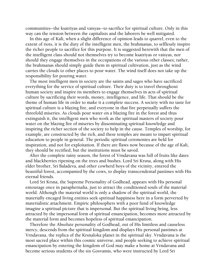communities--the ksatriyas and vaisyas--to sacrifice for spiritual culture. Only in this way can the tension between the capitalists and the laborers be well mitigated.

 In this age of Kali, when a slight difference of opinion leads to quarrel, even to the extent of riots, it is the duty of the intelligent men, the brahmanas, to selflessly inspire the richer people to sacrifice for this purpose. It is suggested herewith that the men of the intelligent class should not themselves try to become ksatriyas or vaisyas, nor should they engage themselves in the occupations of the various other classes; rather, the brahmanas should simply guide them in spiritual cultivation, just as the wind carries the clouds to other places to pour water. The wind itself does not take up the responsibility for pouring water.

 The most intelligent men in society are the saints and sages who have sacrificed everything for the service of spiritual culture. Their duty is to travel throughout human society and inspire its members to engage themselves in acts of spiritual culture by sacrificing their words, money, intelligence, and life. That should be the theme of human life in order to make it a complete success. A society with no taste for spiritual culture is a blazing fire, and everyone in that fire perpetually suffers the threefold miseries. As clouds pour water on a blazing fire in the forest and thus extinguish it, the intelligent men who work as the spiritual masters of society pour water on the blazing fire of miseries by disseminating spiritual knowledge and inspiring the richer section of the society to help in the cause. Temples of worship, for example, are constructed by the rich, and these temples are meant to impart spiritual education to people in general. The periodic spiritual ceremonies are held for inspiration, and not for exploitation. If there are flaws now because of the age of Kali, they should be rectified, but the institutions must be saved.

 After the complete rainy season, the forest of Vrndavana was full of fruits like dates and blackberries ripening on the trees and bushes. Lord Sri Krsna, along with His elder brother, Sri Baladeva, and other cowherd boys of the vicinity, entered the beautiful forest, accompanied by the cows, to display transcendental pastimes with His eternal friends.

 Lord Sri Krsna, the Supreme Personality of Godhead, appears with His personal entourage once in paraphernalia, just to attract the conditioned souls of the material world. Although the material world is only a shadow of the spiritual world, the materially encaged living entities seek spiritual happiness here in a form perverted by materialistic attachment. Empiric philosophers with a poor fund of knowledge imagine a spiritual picture that is impersonal. But the spiritual living being, less attracted by the impersonal form of spiritual emancipation, becomes more attracted by the material form and becomes hopeless of spiritual emancipation.

 Therefore the Absolute personality of Godhead, out of His limitless and causeless mercy, descends from the spiritual kingdom and displays His personal pastimes at Vrndavana, the replica of the Krsnaloka planet in the spiritual sky. Vrndavana is the most sacred place within this cosmic universe, and people seeking to achieve spiritual emancipation by entering the kingdom of God may make a home at Vrndavana and become serious students of the six Gosvamis, who were instructed by Lord Sri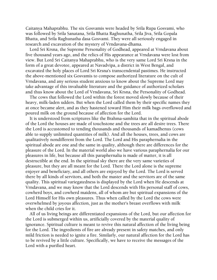Caitanya Mahaprabhu. The six Gosvamis were headed by Srila Rupa Gosvami, who was followed by Srila Sanatana, Srila Bhatta Raghunatha, Srila Jiva, Srila Gopala Bhatta, and Srila Raghunatha dasa Gosvami. They were all seriously engaged in research and excavation of the mystery of Vrndavana-dhama.

 Lord Sri Krsna, the Supreme Personality of Godhead, appeared at Vrndavana about five thousand years ago, and the relics of His appearance at Vrndavana were lost from view. But Lord Sri Caitanya Mahaprabhu, who is the very same Lord Sri Krsna in the form of a great devotee, appeared at Navadvipa, a district in West Bengal, and excavated the holy places of Lord Sri Krsna's transcendental pastimes. He instructed the above-mentioned six Gosvamis to compose authorized literature on the cult of Vrndavana, and any serious student anxious to know about the Supreme Lord may take advantage of this invaluable literature and the guidance of authorized scholars and thus know about the Lord of Vrndavana, Sri Krsna, the Personality of Godhead.

 The cows that followed the Lord within the forest moved slowly because of their heavy, milk-laden udders. But when the Lord called them by their specific names they at once became alert, and as they hastened toward Him their milk bags overflowed and poured milk on the ground because of affection for the Lord.

 It is understood from scriptures like the Brahma-samhita that in the spiritual abode of the Lord the houses are made of touchstone and the trees are all desire trees. There the Lord is accustomed to tending thousands and thousands of kamadhenus (cows able to supply unlimited quantities of milk). And all the houses, trees, and cows are qualitatively nondifferent from the Lord. The Lord and His paraphernalia in the spiritual abode are one and the same in quality, although there are differences for the pleasure of the Lord. In the material world also we have various paraphernalia for our pleasures in life, but because all this paraphernalia is made of matter, it is all destructible at the end. In the spiritual sky there are the very same varieties of pleasure, but they are all meant for the Lord. There the Lord alone is the supreme enjoyer and beneficiary, and all others are enjoyed by the Lord. The Lord is served there by all kinds of servitors, and both the master and the servitors are of the same quality. This spiritual variegatedness is displayed by the Lord when He descends at Vrndavana, and we may know that the Lord descends with His personal staff of cows, cowherd boys, and cowherd maidens, all of whom are but spiritual expansions of the Lord Himself for His own pleasures. Thus when called by the Lord the cows were overwhelmed by joyous affection, just as the mother's breast overflows with milk when the child cries for it.

 All of us living beings are differentiated expansions of the Lord, but our affection for the Lord is submerged within us, artificially covered by the material quality of ignorance. Spiritual culture is meant to revive this natural affection of the living being for the Lord. The ingredients of fire are already present in safety matches, and only mild friction is needed to ignite a fire. Similarly, our natural affection for the Lord has to be revived by a little culture. Specifically, we have to receive the messages of the Lord with a purified heart.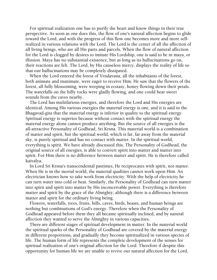For spiritual realization one has to purify the heart and know things in their true perspective. As soon as one does this, the flow of one's natural affection begins to glide toward the Lord, and with the progress of this flow one becomes more and more selfrealized in various relations with the Lord. The Lord is the center of all the affection of all living beings, who are all His parts and parcels. When the flow of natural affection for the Lord is clogged by desires to imitate His Lordship, one is said to be in maya, or illusion. Maya has no substantial existence, but as long as its hallucinations go on, their reactions are felt. The Lord, by His causeless mercy, displays the reality of life so that our hallucinations may be completely dissipated.

 When the Lord entered the forest of Vrndavana, all the inhabitants of the forest, both animate and inanimate, were eager to receive Him. He saw that the flowers of the forest, all fully blossoming, were weeping in ecstasy, honey flowing down their petals. The waterfalls on the hilly rocks were gladly flowing, and one could hear sweet sounds from the caves nearby.

 The Lord has multifarious energies, and therefore the Lord and His energies are identical. Among His various energies the material energy is one, and it is said in the Bhagavad-gita that the material energy is inferior in quality to the spiritual energy. Spiritual energy is superior because without contact with the spiritual energy the material energy alone cannot produce anything. But the source of all energies is the all-attractive Personality of Godhead, Sri Krsna. This material world is a combination of matter and spirit, but the spiritual world, which is far, far away from the material sky, is purely spiritual and has no contact with matter. In the spiritual world, everything is spirit. We have already discussed this. The Personality of Godhead, the original source of all energies, is able to convert spirit into matter and matter into spirit. For Him there is no difference between matter and spirit. He is therefore called kaivalya.

 In Lord Sri Krsna's transcendental pastimes, He reciprocates with spirit, not matter. When He is in the mortal world, the material qualities cannot work upon Him. An electrician knows how to take work from electricity. With the help of electricity he can turn water into cold or heat. Similarly, the Personality of Godhead can turn matter into spirit and spirit into matter by His inconceivable power. Everything is therefore matter and spirit by the grace of the Almighty, although there is a difference between matter and spirit for the ordinary living being.

 Flowers, waterfalls, trees, fruits, hills, caves, birds, beasts, and human beings are nothing but combinations of God's energy. Therefore when the Personality of Godhead appeared before them they all became spiritually inclined, and by natural affection they wanted to serve the Almighty in various capacities.

 There are different stages of spiritual development in matter. In the material world the spiritual sparks of the Personality of Godhead are covered by the material energy in different proportions, and gradually they become spiritualized in various species of life. The human form of life represents the complete development of the senses for spiritual realization of one's original affection for the Lord. Therefore if despite this opportunity for human life we are unable to revive our natural affection for the Lord,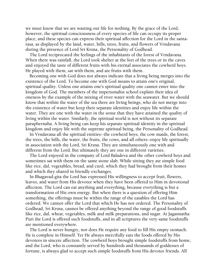we must know that we are wasting our life for nothing. By the grace of the Lord, however, the spiritual consciousness of every species of life can occupy its proper place, and these species can express their spiritual affection for the Lord in the santarasa, as displayed by the land, water, hills, trees, fruits, and flowers of Vrndavana during the presence of Lord Sri Krsna, the Personality of Godhead.

 The Lord reciprocated the feelings of the inhabitants of the forest of Vrndavana. When there was rainfall, the Lord took shelter at the feet of the trees or in the caves and enjoyed the taste of different fruits with his eternal associates the cowherd boys. He played with them, sat with them, and ate fruits with them.

 Becoming one with God does not always indicate that a living being merges into the existence of the Lord. To become one with God means to attain one's original, spiritual quality. Unless one attains one's spiritual quality one cannot enter into the kingdom of God. The members of the impersonalist school explain their idea of oneness by the example of the mixing of river water with the seawater. But we should know that within the water of the sea there are living beings, who do not merge into the existence of water but keep their separate identities and enjoy life within the water. They are one with the water in the sense that they have attained the quality of living within the water. Similarly, the spiritual world is not without its separate paraphernalia. A living being can keep his separate spiritual identity in the spiritual kingdom and enjoy life with the supreme spiritual being, the Personality of Godhead.

 In Vrndavana all the spiritual entities--the cowherd boys, the cow maids, the forest, the trees, the hills, the water, the fruits, the cows, and all others--enjoy life spiritually in association with the Lord, Sri Krsna. They are simultaneously one with and different from the Lord. But ultimately they are one in different varieties.

 The Lord enjoyed in the company of Lord Baladeva and the other cowherd boys and sometimes sat with them on the same stone slab. While sitting they ate simple food like rice, dal, vegetables, bread, and curd, which they had brought from their homes and which they shared in friendly exchanges.

 In Bhagavad-gita the Lord has expressed His willingness to accept fruit, flowers, leaves, and water from His devotee when they have been offered to Him in devotional affection. The Lord can eat anything and everything, because everything is but a transformation of His own energy. But when there is a question of offering Him something, the offerings must be within the range of the eatables the Lord has ordered. We cannot offer the Lord that which He has not ordered. The Personality of Godhead, Sri Krsna, cannot be offered anything beyond the range of good foodstuffs like rice, dal, wheat, vegetables, milk and milk preparations, and sugar. At Jagannatha Puri the Lord is offered such foodstuffs, and in all scriptures the very same foodstuffs are mentioned everywhere.

 The Lord is never hungry, nor does He require any food to fill His empty stomach. He is complete in Himself. Yet He always mercifully eats the foods offered by His devotees in sincere affection. The cowherd boys brought simple foodstuffs from home, and the Lord, who is constantly served by hundreds and thousands of goddesses of fortune, is always glad to accept such simple foodstuffs from His devotee friends. All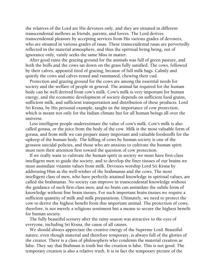the relatives of the Lord are His devotees only, and they are situated in different transcendental mellows as friends, parents, and lovers. The Lord derives transcendental pleasure by accepting services from His various grades of devotees, who are situated in various grades of rasas. These transcendental rasas are pervertedly reflected in the material atmosphere, and thus the spiritual living being, out of ignorance only, vainly seeks the same bliss in matter.

 After good rains the grazing ground for the animals was full of green pasture, and both the bulls and the cows sat down on the grass fully satisfied. The cows, followed by their calves, appeared tired of grazing, because of full milk bags. Calmly and quietly the cows and calves rested and ruminated, chewing their cud.

 Protection and grazing ground for the cows are among the essential needs for society and the welfare of people in general. The animal fat required for the human body can be well derived from cow's milk. Cow's milk is very important for human energy, and the economic development of society depends on sufficient food grains, sufficient milk, and sufficient transportation and distribution of these products. Lord Sri Krsna, by His personal example, taught us the importance of cow protection, which is meant not only for the Indian climate but for all human beings all over the universe.

 Less intelligent people underestimate the value of cow's milk. Cow's milk is also called gorasa, or the juice from the body of the cow. Milk is the most valuable form of gorasa, and from milk we can prepare many important and valuable foodstuffs for the upkeep of the human body. The killing of cows by human society is one of the grossest suicidal policies, and those who are anxious to cultivate the human spirit must turn their attention first toward the question of cow protection.

 If we really want to cultivate the human spirit in society we must have first-class intelligent men to guide the society, and to develop the finer tissues of our brains we must assimilate vitamin values from milk. Devotees worship Lord Sri Krsna by addressing Him as the well-wisher of the brahmanas and the cows. The most intelligent class of men, who have perfectly attained knowledge in spiritual values, are called the brahmanas. No society can improve in transcendental knowledge without the guidance of such first-class men, and no brain can assimilate the subtle form of knowledge without fine brain tissues. For such important brain tissues we require a sufficient quantity of milk and milk preparations. Ultimately, we need to protect the cow to derive the highest benefit from this important animal. The protection of cows, therefore, is not merely a religious sentiment but a means to secure the highest benefit for human society.

 The fully beautiful scenery after the rainy season was attractive to the eyes of everyone, including Sri Krsna, the cause of all causes.

 We should always appreciate the creative energy of the Supreme Lord. Beautiful nature, even though material and therefore temporary, is always full of the glories of the creator. There is a class of philosophers who condemn the material creation as false. They say that Brahman is truth but the creation is false. This is not good. The temporary creation is also a relative truth. It is in fact the temporary picture of the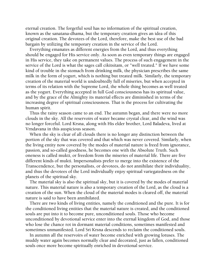eternal creation. The forgetful soul has no information of the spiritual creation, known as the sanatana-dhama, but the temporary creation gives an idea of this original creation. The devotees of the Lord, therefore, make the best use of the bad bargain by utilizing the temporary creation in the service of the Lord.

 Everything emanates as different energies from the Lord, and thus everything should be engaged for His service only. As soon as even temporary things are engaged in His service, they take on permanent values. The process of such engagement in the service of the Lord is what the sages call cikitsitam, or "well treated." If we have some kind of trouble in the stomach from drinking milk, the physician prescribes the same milk in the form of yogurt, which is nothing but treated milk. Similarly, the temporary creation of the material world is undoubtedly full of miseries, but when accepted in terms of its relation with the Supreme Lord, the whole thing becomes as well treated as the yogurt. Everything accepted in full God consciousness has its spiritual value, and by the grace of the Almighty its material effects are diminished in terms of the increasing degree of spiritual consciousness. That is the process for cultivating the human spirit.

 Thus the rainy season came to an end. The autumn began, and there were no more clouds in the sky. All the reservoirs of water became crystal clear, and the wind was no longer forceful. Lord Krsna, along with His elder brother, Lord Baladeva, lived at Vrndavana in this auspicious season.

 When the sky is clear of all clouds there is no longer any distinction between the portion of the sky that was covered and that which was never covered. Similarly, when the living entity now covered by the modes of material nature is freed from ignorance, passion, and so-called goodness, he becomes one with the Absolute Truth. Such oneness is called mukti, or freedom from the miseries of material life. There are five different kinds of mukti. Impersonalists prefer to merge into the existence of the Transcendence, but the personalists, or devotees, do not annihilate their individuality, and thus the devotees of the Lord individually enjoy spiritual variegatedness on the planets of the spiritual sky.

 The material sky is also the spiritual sky, but it is covered by the modes of material nature. This material nature is also a temporary creation of the Lord, as the cloud is a creation of the sun. When the cloud of the material modes is cleared off, the material nature is said to have been annihilated.

 There are two kinds of living entities, namely the conditioned and the pure. It is for the conditioned living entities that the material nature is created, and the conditioned souls are put into it to become pure, unconditioned souls. Those who become unconditioned by devotional service enter into the eternal kingdom of God, and those who lose the chance rot in dormant material conditions, sometimes manifested and sometimes unmanifested. Lord Sri Krsna descends to reclaim the conditioned souls.

 In autumn all the reservoirs of water become enriched with growing lotuses. The muddy water again becomes normally clear and decorated, just as fallen, conditioned souls once more become spiritually enriched in devotional service.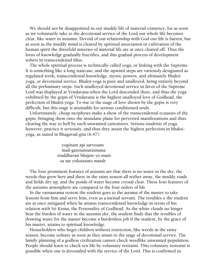We should not be disappointed in our muddy life of material existence, for as soon as we voluntarily take to the devotional service of the Lord our whole life becomes clear, like water in autumn. Devoid of our relationship with God our life is barren, but as soon as the muddy mind is cleared by spiritual association or cultivation of the human spirit the threefold miseries of material life are at once cleared off. Thus the lotus of knowledge gradually fructifies, and this gradual process of development ushers in transcendental bliss.

 The whole spiritual process is technically called yoga, or linking with the Supreme. It is something like a long staircase, and the upward steps are variously designated as regulated work, transcendental knowledge, mystic powers, and ultimately bhaktiyoga, or devotional service. Bhakti-yoga is pure and unalloyed, being entirely beyond all the preliminary steps. Such unalloyed devotional service in favor of the Supreme Lord was displayed at Vrndavana when the Lord descended there, and thus the yoga exhibited by the gopis of Vrndavana is the highest unalloyed love of Godhead, the perfection of bhakti-yoga. To rise to the stage of love shown by the gopis is very difficult, but this stage is attainable for serious conditioned souls.

 Unfortunately, cheap neophytes make a show of the transcendental ecstasies of the gopis, bringing them onto the mundane plane for perverted manifestations and thus clearing the way to hell by such unwanted caricatures. Serious students of yoga, however, practice it seriously, and thus they attain the highest perfection in bhaktiyoga, as stated in Bhagavad-gita (6.47):

> yoginam api sarvesam mad-gatenantaratmana sraddhavan bhajate yo mam sa me yuktatamo matah

 The four prominent features of autumn are that there is no water in the sky, the weeds that grew here and there in the rainy season all wither away, the muddy roads and fields dry up, and the ponds of water become crystal clear. These four features of the autumn atmosphere are compared to the four orders of life.

 In the varnasrama system the student goes to the asrama of the master to take lessons from him and serve him, even as a menial servant. The troubles o the student are at once mitigated when he attains transcendental knowledge in terms of his relation with Sri Krsna, the Personality of Godhead. As the white clouds no longer bear the burden of water in the autumn sky, the student finds that the troubles of drawing water for the master become a burdenless job if the student, by the grace of his master, attains to spiritual knowledge.

 Householders who beget children without restriction, like weeds in the rainy season, become solitary as soon as they attain to the stage of devotional service. The family planning of a godless civilization cannot check weedlike unwanted population. People should learn to check sex life by voluntary restraint. This voluntary restraint is possible when one is dovetailed with the service of the Lord. This is confirmed in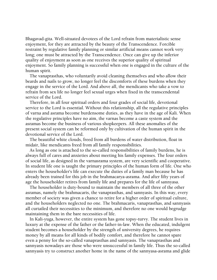Bhagavad-gita. Well-situated devotees of the Lord refrain from materialistic sense enjoyment, for they are attracted by the beauty of the Transcendence. Forcible restraint by regulative family planning or similar artificial means cannot work very long; one must be attracted by the Transcendence. Once can give up the inferior quality of enjoyment as soon as one receives the superior quality of spiritual enjoyment. So family planning is successful when one is engaged in the culture of the human spirit.

 The vanaprasthas, who voluntarily avoid cleaning themselves and who allow their beards and nails to grow, no longer feel the discomforts of these burdens when they engage in the service of the Lord. And above all, the mendicants who take a vow to refrain from sex life no longer feel sexual urges when fixed in the transcendental service of the Lord.

 Therefore, in all four spiritual orders and four grades of social life, devotional service to the Lord is essential. Without this relationship, all the regulative principles of varna and asrama become burdensome duties, as they have in the age of Kali. When the regulative principles have no aim, the varnas become a caste system and the asramas become the business of various shopkeepers. All these anomalies of the present social system can be reformed only by cultivation of the human spirit in the devotional service of the Lord.

 The beautiful white clouds, freed from all burdens of water distribution, float in midair, like mendicants freed from all family responsibilities.

 As long as one is attached to the so-called responsibilities of family burdens, he is always full of cares and anxieties about meeting his family expenses. The four orders of social life, as designed in the varnasrama system, are very scientific and cooperative. In student life one is taught the primary principles of the human form of life. One who enters the householder's life can execute the duties of a family man because he has already been trained for this job in the brahmacarya-asrama. And after fifty years of age the householder retires from family life and prepares for the life of sannyasa.

 The householder is duty-bound to maintain the members of all three of the other asramas, namely the brahmacaris, the vanaprasthas, and sannyasis. In this way, every member of society was given a chance to retire for a higher order of spiritual culture, and the householders neglected no one. The brahmacaris, vanaprasthas, and sannyasis all curtailed their necessities to the minimum, and therefore no one would begrudge maintaining them in the bare necessities of life.

 In Kali-yuga, however, the entire system has gone topsy-turvy. The student lives in luxury at the expense of the father or the father-in-law. When the educated, indulgent student becomes a householder by the strength of university degrees, he requires money by all means for all kinds of bodily comfort, and therefore he cannot spare even a penny for the so-called vanaprasthas and sannyasis. The vanaprasthas and sannyasis nowadays are those who were unsuccessful in family life. Thus the so-called sannyasis try to construct another home in the name of the sannyasa-asrama and glide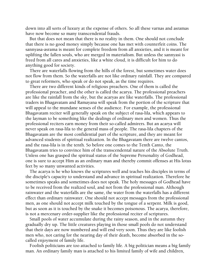down into all sorts of luxury at the expense of others. So all these varnas and asramas have now become so many transcendental frauds.

 But that does not mean that there is no reality in them. One should not conclude that there is no good money simply because one has met with counterfeit coins. The sannyasa-asrama is meant for complete freedom from all anxieties, and it is meant for uplifting the fallen souls, who are merged in materialism. But unless the sannyasi is freed from all cares and anxieties, like a white cloud, it is difficult for him to do anything good for society.

 There are waterfalls flowing from the hills of the forest, but sometimes water does not flow from them. So the waterfalls are not like ordinary rainfall. They are compared to great reformers, who speak or do not speak, as the time requires.

 There are two different kinds of religious preachers. One of them is called the professional preacher, and the other is called the acarya. The professional preachers are like the rainfall from the sky, but the acaryas are like waterfalls. The professional traders in Bhagavatam and Ramayana will speak from the portion of the scripture that will appeal to the mundane senses of the audience. For example, the professional Bhagavatam reciter will generally speak on the subject of rasa-lila, which appears to the layman to be something like the dealings of ordinary men and women. Thus the professional reciters earn money from their so-called admirers. But an acarya will never speak on rasa-lila to the general mass of people. The rasa-lila chapters of the Bhagavatam are the most confidential part of the scripture, and they are meant for advanced students of spiritual realization. In the Bhagavatam there are twelve cantos, and the rasa-lila is in the tenth. So before one comes to the Tenth Canto, the Bhagavatam tries to convince him of the transcendental nature of the Absolute Truth. Unless one has grasped the spiritual status of the Supreme Personality of Godhead, one is sure to accept Him as an ordinary man and thereby commit offenses at His lotus feet by so many unwanted activities.

 The acarya is he who knows the scriptures well and teaches his disciples in terms of the disciple's capacity to understand and advance in spiritual realization. Therefore he sometimes speaks and sometimes does not speak. The holy messages of Godhead have to be received from the realized soul, and not from the professional man. Although rainwater and the waterfalls are the same, the water from the waterfalls has a different effect than ordinary rainwater. One should not accept messages from the professional men, as one should not accept milk touched by the tongue of a serpent. Milk is good, but as soon as it is touched by the snake it becomes poisonous. The acarya, therefore, is not a mercenary order-supplier like the professional reciter of scriptures.

 Small pools of water accumulate during the rainy season, and in the autumn they gradually dry up. The little creatures playing in those small pools do not understand that their days are now numbered and will end very soon. Thus they are like foolish men who, not caring for the nearing day of their death, become absorbed in the socalled enjoyment of family life.

 Foolish politicians are too attached to family life. A big politician means a big family man. An ordinary family man is attached to his limited family of wife and children,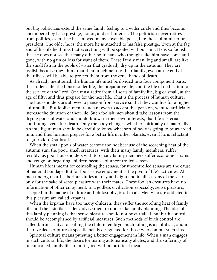but big politicians extend the same family feeling to a wider circle and thus become encumbered by false prestige, honor, and self-interest. The politician never retires from politics, even if he has enjoyed many covetable posts, like those of minister or president. The older he is, the more he is attached to his false prestige. Even at the fag end of his life he thinks that everything will be spoiled without him. He is so foolish that he does not see that many other politicians who thought like him have come and gone, with no gain or loss for want of them. These family men, big and small, are like the small fish in the pools of water that gradually dry up in the autumn. They are foolish because they think that their attachment to their family, even at the end of their lives, will be able to protect them from the cruel hands of death.

 As already mentioned, the human life must be divided into four component parts: the student life, the householder life, the preparative life, and the life of dedication to the service of the Lord. One must retire from all sorts of family life, big or small, at the age of fifty, and thus prepare for the next life. That is the process of human culture. The householders are allowed a pension from service so that they can live for a higher cultural life. But foolish men, reluctant even to accept this pension, want to artificially increase the duration of their life. Such foolish men should take lessons from the drying pools of water and should know, in their own interests, that life is eternal, continuing even after death. Only the body changes, whether spiritually or materially. An intelligent man should be careful to know what sort of body is going to be awarded him, and thus he must prepare for a better life in other planets, even if he is reluctant to go back to Godhead.

 When the small pools of water become too hot because of the scorching heat of the autumn sun, the poor, small creatures, with their many family members, suffer terribly, as poor householders with too many family members suffer economic strains and yet go on begetting children because of uncontrolled senses.

 Human life is meant for controlling the senses, for uncontrolled senses are the cause of material bondage. But for fools sense enjoyment is the pivot of life's activities. All men undergo hard, laborious duties all day and night and in all seasons of the year, only for the sake of sense pleasure with their mates. These foolish creatures have no information of other enjoyment. In a godless civilization especially, sense pleasure, accepted in the name of culture and philosophy, is all in all. Men who are addicted to this pleasure are called krpanas.

 When the krpanas have too many children, they suffer the scorching heat of family life, and then similar leaders advise them to undertake family planning. The idea of this family planning is that sense pleasure should not be curtailed, but birth control should be accomplished by artificial measures. Such methods of birth control are called bhruna-hatya, or killing the child in embryo. Such killing is a sinful act, and in the revealed scriptures a specific hell is designated for those who commit such sins.

 Spiritual culture means pursuing a better engagement in life. When a man engages in such cultural life, the desire for mating automatically abates, and the sufferings of uncontrolled family life are mitigated without artificial means.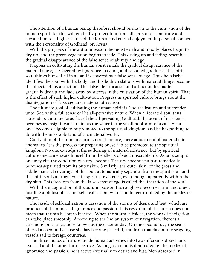The attention of a human being, therefore, should be drawn to the cultivation of the human spirit, for this will gradually protect him from all sorts of discomfiture and elevate him to a higher status of life for real and eternal enjoyment in personal contact with the Personality of Godhead, Sri Krsna.

 With the progress of the autumn season the moist earth and muddy places begin to dry up, and the green vegetation begins to fade. This drying up and fading resembles the gradual disappearance of the false sense of affinity and ego.

 Progress in cultivating the human spirit entails the gradual disappearance of the materialistic ego. Covered by ignorance, passion, and so-called goodness, the spirit soul thinks himself all in all and is covered by a false sense of ego. Thus he falsely identifies the soul with the body, and his bodily relations with material things become the objects of his attraction. This false identification and attraction for matter gradually dry up and fade away by success in the cultivation of the human spirit. That is the effect of such higher cultivation. Progress in spiritual culture brings about the disintegration of false ego and material attraction.

 The ultimate goal of cultivating the human spirit is God realization and surrender unto God with a full sense of His all-pervasive nature. When a liberated soul thus surrenders unto the lotus feet of the all-pervading Godhead, the ocean of nescience becomes as insignificant to him as the water in the small hoofprint of a calf. He at once becomes eligible to be promoted to the spiritual kingdom, and he has nothing to do with the miserable land of the material world.

 Cultivation of the human spirit is not, therefore, mere adjustment of materialistic anomalies. It is the process for preparing oneself to be promoted to the spiritual kingdom. No one can adjust the sufferings of material existence, but by spiritual culture one can elevate himself from the effects of such miserable life. As an example one may cite the condition of a dry coconut. The dry coconut pulp automatically becomes separated from its outer skin. Similarly, the outer skin, or the gross and subtle material coverings of the soul, automatically separates from the spirit soul, and the spirit soul can then exist in spiritual existence, even though apparently within the dry skin. This freedom from the false sense of ego is called the liberation of the soul.

 With the inauguration of the autumn season the rough sea becomes calm and quiet, just like a philosopher after self-realization, who is no longer troubled by the modes of nature.

 The result of self-realization is cessation of the storms of desire and lust, which are products of the modes of ignorance and passion. This cessation of the storm does not mean that the sea becomes inactive. When the storm subsides, the work of navigation can take place smoothly. According to the Indian system of navigation, there is a ceremony on the seashore known as the coconut day. On the coconut day the sea is offered a coconut because she has become peaceful, and from that day on the seagoing vessels sail to foreign countries.

 The three modes of nature divide human activities into two different spheres, one external and the other introspective. As long as a man is dominated by the modes of ignorance and passion, he is active externally in desire and lust. Men absorbed in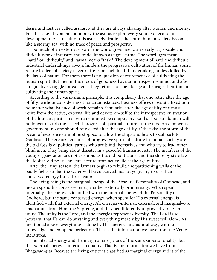desire and lust are called asuras, and they are always chasing after women and money. For the sake of women and money the asuras exploit every source of economic development. As a result of this asuric civilization, the entire human society becomes like a stormy sea, with no trace of peace and prosperity.

 Too much of an external view of the world gives rise to an overly large-scale and difficult type of industry and trade, known as ugra-karma. The word ugra means "hard" or "difficult," and karma means "task." The development of hard and difficult industrial undertakings always hinders the progressive cultivation of the human spirit. Asuric leaders of society never retire from such lustful undertakings unless killed by the laws of nature. For them there is no question of retirement or of cultivating the human spirit. But men in the mode of goodness have an introspective mind, and after a regulative struggle for existence they retire at a ripe old age and engage their time in cultivating the human spirit.

 According to the varnasrama principle, it is compulsory that one retire after the age of fifty, without considering other circumstances. Business offices close at a fixed hour no matter what balance of work remains. Similarly, after the age of fifty one must retire from the active, external life and devote oneself to the introspective cultivation of the human spirit. This retirement must be compulsory, so that foolish old men will no longer disturb the peaceful progress of spiritual culture. In the modern democratic government, no one should be elected after the age of fifty. Otherwise the storm of the ocean of nescience cannot be stopped to allow the ships and boats to sail back to Godhead. The greatest enemies of progressive spiritual culture in human society are the old fossils of political parties who are blind themselves and who try to lead other blind men. They bring about disaster in a peaceful human society. The members of the younger generation are not as stupid as the old politicians, and therefore by state law the foolish old politicians must retire from active life at the age of fifty.

 After the rainy season, the farmers begin to rebuild the partitioning walls of the paddy fields so that the water will be conserved, just as yogis try to use their conserved energy for self-realization.

 The living being is the marginal energy of the Absolute Personality of Godhead, and he can spend his conserved energy either externally or internally. When spent internally, the energy is identified with the internal energy of the Personality of Godhead, but the same conserved energy, when spent for His external energy, is identified with that external energy. All energies--internal, external, and marginal--are emanations from Him, the Supreme, and they act differently to prove diversity in unity. The unity is the Lord, and the energies represent diversity. The Lord is so powerful that He can do anything and everything merely by His sweet will alone. As mentioned above, everything is done by His energies in a natural way, with full knowledge and complete perfection. That is the information we have from the Vedic literatures.

 The internal energy and the marginal energy are of the same superior quality, but the external energy is inferior in quality. That is the information we have from Bhagavad-gita. Because the living entity is classified as marginal energy and is of the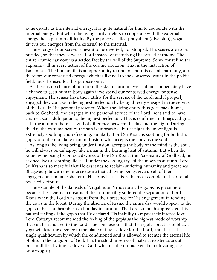same quality as the internal energy, it is quite natural for him to cooperate with the internal energy. But when the living entity prefers to cooperate with the external energy, he is put into difficulty. By the process called pratyahara (diversion), yoga diverts our energies from the external to the internal.

 The energy of our senses is meant to be diverted, not stopped. The senses are to be purified, so that they serve the Lord instead of disturbing His settled harmony. The entire cosmic harmony is a settled fact by the will of the Supreme. So we must find the supreme will in every action of the cosmic situation. That is the instruction of Isopanisad. The human life is an opportunity to understand this cosmic harmony, and therefore our conserved energy, which is likened to the conserved water in the paddy field, must be used for this purpose only.

 As there is no chance of rain from the sky in autumn, we shall not immediately have a chance to get a human body again if we spend our conserved energy for sense enjoyment. The senses have their utility for the service of the Lord, and if properly engaged they can reach the highest perfection by being directly engaged in the service of the Lord in His personal presence. When the living entity thus goes back home, back to Godhead, and engages in the personal service of the Lord, he is said to have attained samsiddhi parama, the highest perfection. This is confirmed in Bhagavad-gita.

 In the autumn there is a gulf of difference between the day and the night. During the day the extreme heat of the sun is unbearable, but at night the moonlight is extremely soothing and refreshing. Similarly, Lord Sri Krsna is soothing for both the gopis and the mundane man in illusion, who accepts the body as the soul.

 As long as the living being, under illusion, accepts the body or the mind as the soul, he will always be unhappy, like a man in the burning heat of autumn. But when the same living being becomes a devotee of Lord Sri Krsna, the Personality of Godhead, he at once lives a soothing life, as if under the cooling rays of the moon in autumn. Lord Sri Krsna is so merciful that He descends to reclaim suffering humanity and preaches Bhagavad-gita with the intense desire that all living beings give up all of their engagements and take shelter of His lotus feet. This is the most confidential part of all revealed scripture.

 The example of the damsels of Vrajabhumi Vrndavana (the gopis) is given here because these eternal consorts of the Lord terribly suffered the separation of Lord Krsna when the Lord was absent from their presence for His engagement in tending the cows in the forest. During the absence of Krsna, the entire day would appear to the gopis to be as unbearable as a hot day in autumn. The Lord so much appreciated this natural feeling of the gopis that He declared His inability to repay their intense love. Lord Caitanya recommended the feeling of the gopis as the highest mode of worship that can be rendered to the Lord. The conclusion is that the regular practice of bhaktiyoga will lead the devotee to the plane of intense love for the Lord, and that is the single qualification by which the conditioned soul is allowed to reenter the eternal life of bliss in the kingdom of God. The threefold miseries of material existence are at once nullified by intense love of God, which is the ultimate goal of cultivating the human spirit.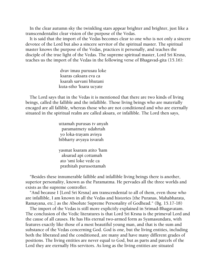In the clear autumn sky the twinkling stars appear brighter and brighter, just like a transcendentalist clear vision of the purpose of the Vedas.

 It is said that the import of the Vedas becomes clear to one who is not only a sincere devotee of the Lord but also a sincere servitor of the spiritual master. The spiritual master knows the purpose of the Vedas, practices it personally, and teaches the disciple of the true light of the Vedas. The supreme spiritual master, Lord Sri Krsna, teaches us the import of the Vedas in the following verse of Bhagavad-gita (15.16):

> dvav imau purusau loke ksaras caksara eva ca ksarah sarvani bhutani kuta-stho 'ksara ucyate

 The Lord says that in the Vedas it is mentioned that there are two kinds of living beings, called the fallible and the infallible. Those living beings who are materially encaged are all fallible, whereas those who are not conditioned and who are eternally situated in the spiritual realm are called aksara, or infallible. The Lord then says,

> uttamah purusas tv anyah paramatmety udahrtah yo loka-trayam avisya bibharty avyaya isvarah

 yasmat ksaram atito 'ham aksarad api cottamah ato 'smi loke vede ca prathitah purusottamah

 "Besides these innumerable fallible and infallible living beings there is another, superior personality, known as the Paramatma. He pervades all the three worlds and exists as the supreme controller.

 "And because I [Lord Sri Krsna] am transcendental to all of them, even those who are infallible, I am known in all the Vedas and histories [the Puranas, Mahabharata, Ramayana, etc.] as the Absolute Supreme Personality of Godhead." (Bg. 15.17-18)

 The import of the Vedas is still more explicitly explained in Srimad-Bhagavatam. The conclusion of the Vedic literatures is that Lord Sri Krsna is the primeval Lord and the cause of all causes. He has His eternal two-armed form as Syamasundara, with features exactly like those of a most beautiful young man, and that is the sum and substance of the Vedas concerning God. God is one, but the living entities, including both the liberated and the conditioned, are many and have many different grades of positions. The living entities are never equal to God, but as parts and parcels of the Lord they are eternally His servitors. As long as the living entities are situated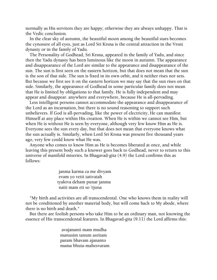normally as His servitors they are happy; otherwise they are always unhappy. That is the Vedic conclusion.

 In the clear sky of autumn, the beautiful moon among the beautiful stars becomes the cynosure of all eyes, just as Lord Sri Krsna is the central attraction in the Vrsni dynasty or in the family of Yadu.

 The Personality of Godhead, Sri Krsna, appeared in the family of Yadu, and since then the Yadu dynasty has been luminous like the moon in autumn. The appearance and disappearance of the Lord are similar to the appearance and disappearance of the sun. The sun is first seen on the eastern horizon, but that does not mean that the sun is the son of that side. The sun is fixed in its own orbit, and it neither rises nor sets. But because we first see it on the eastern horizon we may say that the sun rises on that side. Similarly, the appearance of Godhead in some particular family does not mean that He is limited by obligations to that family. He is fully independent and may appear and disappear. anywhere and everywhere, because He is all-pervading.

 Less intelligent persons cannot accommodate the appearance and disappearance of the Lord as an incarnation, but there is no sound reasoning to support such unbelievers. If God is all-pervading, like the power of electricity, He can manifest Himself at any place within His creation. When He is within we cannot see Him, but when He is without He is seen by everyone, although very few know Him as He is. Everyone sees the sun every day, but that does not mean that everyone knows what the sun actually is. Similarly, when Lord Sri Krsna was present five thousand years ago, very few could know what He was.

 Anyone who comes to know Him as He is becomes liberated at once, and while leaving this present body such a knower goes back to Godhead, never to return to this universe of manifold miseries. In Bhagavad-gita (4.9) the Lord confirms this as follows:

> janma karma ca me divyam evam yo vetti tattvatah tyaktva deham punar janma naiti mam eti so 'rjuna

 "My birth and activities are all transcendental. One who knows them in reality will not be conditioned by another material body, but will come back to My abode, where there is no birth and death."

 But there are foolish persons who take Him to be an ordinary man, not knowing the essence of His transcendental features. In Bhagavad-gita (9.11) the Lord affirms this:

> avajananti mam mudha manusim tanum asritam param bhavam ajananto mama bhuta-mahesvaram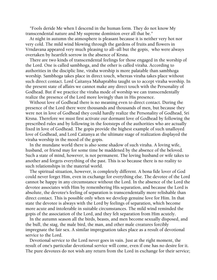"Fools deride Me when I descend in the human form. They do not know My transcendental nature and My supreme dominion over all that be."

 At night in autumn the atmosphere is pleasant because it is neither very hot nor very cold. The mild wind blowing through the gardens of fruits and flowers in Vrndavana appeared very much pleasing to all--all but the gopis, who were always overtaken by heartfelt sorrow in the absence of Krsna.

 There are two kinds of transcendental feelings for those engaged in the worship of the Lord. One is called sambhoga, and the other is called viraha. According to authorities in the disciplic line, viraha worship is more palatable than sambhoga worship. Sambhoga takes place in direct touch, whereas viraha takes place without such direct contact. Lord Caitanya Mahaprabhu taught us to accept viraha worship. In the present state of affairs we cannot make any direct touch with the Personality of Godhead. But if we practice the viraha mode of worship we can transcendentally realize the presence of the Lord more lovingly than in His presence.

 Without love of Godhead there is no meaning even to direct contact. During the presence of the Lord there were thousands and thousands of men, but because they were not in love of Godhead they could hardly realize the Personality of Godhead, Sri Krsna. Therefore we must first activate our dormant love of Godhead by following the prescribed rules and by following in the footsteps of the authorities who are actually fixed in love of Godhead. The gopis provide the highest example of such unalloyed love of Godhead, and Lord Caitanya at the ultimate stage of realization displayed the viraha worship in the mood of the gopis.

 In the mundane world there is also some shadow of such viraha. A loving wife, husband, or friend may for some time be maddened by the absence of the beloved. Such a state of mind, however, is not permanent. The loving husband or wife takes to another and forgets everything of the past. This is so because there is no reality to such relationships in the material world.

 The spiritual situation, however, is completely different. A bona fide lover of God could never forget Him, even in exchange for everything else. The devotee of the Lord cannot be happy in any circumstance without the Lord. In the absence of the Lord the devotee associates with Him by remembering His separation, and because the Lord is absolute, the devotee's feeling of separation is transcendentally more relishable than direct contact. This is possible only when we develop genuine love for Him. In that state the devotee is always with the Lord by feelings of separation, which become more acute and intolerable in suitable circumstances. The mild wind reminded the gopis of the association of the Lord, and they felt separation from Him acutely.

 In the autumn season all the birds, beasts, and men become sexually disposed, and the bull, the stag, the male bird, the man, and other male creatures forcibly impregnate the fair sex. A similar impregnation takes place as a result of devotional service to the Lord.

 Devotional service to the Lord never goes in vain. Just at the right moment, the result of one's particular devotional service will come, even if one has no desire for it. The pure devotees do not wish any return from the Lord in exchange for their service;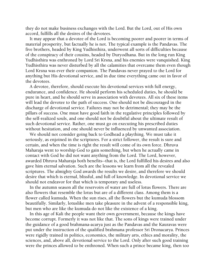they do not make business exchanges with the Lord. But the Lord, out of His own accord, fulfills all the desires of the devotees.

 It may appear that a devotee of the Lord is becoming poorer and poorer in terms of material prosperity, but factually he is not. The typical example is the Pandavas. The five brothers, headed by King Yudhisthira, underwent all sorts of difficulties because of the conspiracy of their cousins, headed by Duryodhana. But in the long run King Yudhisthira was enthroned by Lord Sri Krsna, and his enemies were vanquished. King Yudhisthira was never disturbed by all the calamities that overcame them even though Lord Krsna was ever their companion. The Pandavas never prayed to the Lord for anything but His devotional service, and in due time everything came out in favor of the devotees.

 A devotee, therefore, should execute his devotional services with full energy, endurance, and confidence. He should perform his scheduled duties, he should be pure in heart, and he should serve in association with devotees. All six of these items will lead the devotee to the path of success. One should not be discouraged in the discharge of devotional service. Failures may not be detrimental; they may be the pillars of success. One must have good faith in the regulative principles followed by the self-realized souls, and one should not be doubtful about the ultimate result of such devotional service. Rather, one must go on executing his prescribed duties without hesitation, and one should never be influenced by unwanted association.

 We should not consider going back to Godhead a plaything. We must take it seriously, as enjoined in the scriptures. For a strict follower, the result is sure and certain, and when the time is right the result will come of its own force. Dhruva Maharaja went to worship God to gain something, but when he actually came in contact with God he did not want anything from the Lord. The Lord, however, awarded Dhruva Maharaja both benefits--that is, the Lord fulfilled his desires and also gave him eternal salvation. Such are the lessons we learn from all the revealed scriptures. The almighty God awards the results we desire, and therefore we should desire that which is eternal, blissful, and full of knowledge. In devotional service we should not endeavor for that which is temporary and useless.

 In the autumn season all the reservoirs of water are full of lotus flowers. There are also flowers that resemble the lotus but are of a different class. Among them is a flower called kumuda. When the sun rises, all the flowers but the kumuda blossom beautifully. Similarly, lotuslike men take pleasure in the advent of a responsible king, but men who are like the kumuda do not like the existence of a king.

 In this age of Kali the people want their own government, because the kings have become corrupt. Formerly it was not like that. The sons of kings were trained under the guidance of a good brahmana-acarya just as the Pandavas and the Kauravas were put under the instruction of the qualified brahmana professor Sri Dronacarya. Princes were rigidly trained in politics, economics, the military arts, ethics and morality, the sciences, and, above all, devotional service to the Lord. Only after such good training were the princes allowed to be enthroned. When such a prince became king, then too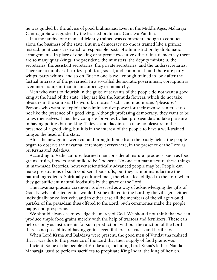he was guided by the advice of good brahmanas. Even in the Middle Ages, Maharaja Candragupta was guided by the learned brahmana Canakya Pandita.

 In a monarchy, one man sufficiently trained was competent enough to conduct alone the business of the state. But in a democracy no one is trained like a prince; instead, politicians are voted to responsible posts of administration by diplomatic arrangements. In place of one king or supreme executive officer, in a democracy there are so many quasi-kings: the president, the ministers, the deputy ministers, the secretaries, the assistant secretaries, the private secretaries, and the undersecretaries. There are a number of parties--political, social, and communal--and there are party whips, party whims, and so on. But no one is well enough trained to look after the factual interests of the governed. In a so-called democratic government, corruption is even more rampant than in an autocracy or monarchy.

 Men who want to flourish in the guise of servants of the people do not want a good king at the head of the state. They are like the kumuda flowers, which do not take pleasure in the sunrise. The word ku means "bad," and mud means "pleasure." Persons who want to exploit the administrative power for their own self-interest do not like the presence of a good king. Although professing democracy, they want to be kings themselves. Thus they compete for votes by bad propaganda and take pleasure in having politics but no king. Thieves and dacoits also take no pleasure in the presence of a good king, but it is in the interest of the people to have a well-trained king as the head of the state.

 After the new grains were cut and brought home from the paddy fields, the people began to observe the navanna ceremony everywhere, in the presence of the Lord as Sri Krsna and Baladeva.

 According to Vedic culture, learned men consider all natural products, such as food grains, fruits, flowers, and milk, to be God-sent. No one can manufacture these things in man-made factories, however scientifically advanced people may be. People can make preparations of such God-sent foodstuffs, but they cannot manufacture the natural ingredients. Spiritually cultured men, therefore, feel obliged to the Lord when they get sufficient natural foodstuffs by the grace of the Lord.

 The navanna-prasana ceremony is observed as a way of acknowledging the gifts of God. Newly collected grains would first be offered to the Lord by the villagers, either individually or collectively, and in either case all the members of the village would partake of the prasadam thus offered to the Lord. Such ceremonies make the people happy and prosperous.

 We should always acknowledge the mercy of God. We should not think that we can produce ample food grains merely with the help of tractors and fertilizers. These can help us only as instruments for such production; without the sanction of the Lord there is no possibility of having grains, even if there are trucks and fertilizers.

 When Lord Krsna and Baladeva were present, the good men of Vrndavana realized that it was due to the presence of the Lord that their supply of food grains was sufficient. Some of the people of Vrndavana, including Lord Krsna's father, Nanda Maharaja, used to perform sacrifices to propitiate King Indra, the king of heaven,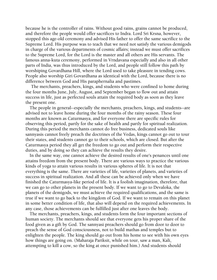because he is the controller of rains. Without good rains, grains cannot be produced, and therefore the people would offer sacrifices to Indra. Lord Sri Krsna, however, stopped this age-old ceremony and advised His father to offer the same sacrifice to the Supreme Lord. His purpose was to teach that we need not satisfy the various demigods in charge of the various departments of cosmic affairs; instead we must offer sacrifices to the Supreme Lord, for the Lord is the master and all others are His servants. The famous anna-kuta ceremony, performed in Vrndavana especially and also in all other parts of India, was thus introduced by the Lord, and people still follow this path by worshiping Govardhana Hill, where the Lord used to take pleasure in tending cows. People also worship Giri Govardhana as identical with the Lord, because there is no difference between God and His paraphernalia and pastimes.

 The merchants, preachers, kings, and students who were confined to home during the four months June, July, August, and September began to flow out and attain success in life, just as perfected souls attain the required body as soon as they leave the present one.

 The people in general--especially the merchants, preachers, kings, and students--are advised not to leave home during the four months of the rainy season. These four months are known as Caturmasya, and for everyone there are specific rules for observing this period, partly for the sake of health and partly for spiritual realization. During this period the merchants cannot do free business, dedicated souls like sannyasis cannot freely preach the doctrines of the Vedas, kings cannot go out to tour their states, and students cannot go to their schools, which are closed. But after the Caturmasya period they all get the freedom to go out and perform their respective duties, and by doing so they can achieve the results they desire.

 In the same way, one cannot achieve the desired results of one's penances until one attains freedom from the present body. There are various ways to practice the various kinds of yoga to attain various results in various spheres of life. It is not that everything is the same. There are varieties of life, varieties of planets, and varieties of success in spiritual realization. And all these can be achieved only when we have finished the Caturmasya-like period of life. It is a foolish imagination, therefore, that we can go to other planets in the present body. If we want to go to Devaloka, the planets of the demigods, we must achieve the required qualifications, and the same is true if we want to go back to the kingdom of God. If we want to remain on this planet in some better condition of life, that also will depend on the required achievements. In any case, those achievements can be fulfilled just after one leaves the body.

 The merchants, preachers, kings, and students form the four important sections of human society. The merchants should see that everyone gets his proper share of the food given as a gift by God. The sannyasi preachers should go from door to door to preach the sense of God consciousness, not to build mathas and temples but to enlighten the people. The king should go out from his home to see with his own eyes how things are going on. (Maharaja Pariksit, while on tour, saw a man, Kali, attempting to kill a cow, so the king at once punished him.) And students should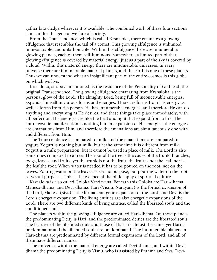gather knowledge wherever it is available. The combined work of these four sections is meant for the general welfare of society.

 From the Transcendence, which is called Krsnaloka, there emanates a glowing effulgence that resembles the tail of a comet. This glowing effulgence is unlimited, immeasurable, and unfathomable. Within this effulgence there are innumerable glowing planets, each of them self-luminous. Somewhere, a limited part of that glowing effulgence is covered by material energy, just as a part of the sky is covered by a cloud. Within this material energy there are innumerable universes, in every universe there are innumerable material planets, and the earth is one of these planets. Thus we can understand what an insignificant part of the entire cosmos is this globe on which we live.

 Krsnaloka, as above mentioned, is the residence of the Personality of Godhead, the original Transcendence. The glowing effulgence emanating from Krsnaloka is the personal glow of the Lord. The almighty Lord, being full of inconceivable energies, expands Himself in various forms and energies. There are forms from His energy as well as forms from His person. He has innumerable energies, and therefore He can do anything and everything as He desires, and these things take place immediately, with all perfection. His energies are like the heat and light that expand from a fire. The entire cosmic manifestation is nothing but an expansion of His energies; the energies are emanations from Him, and therefore the emanations are simultaneously one with and different from Him.

 The Transcendence is compared to milk, and the emanations are compared to yogurt. Yogurt is nothing but milk, but at the same time it is different from milk. Yogurt is a milk preparation, but it cannot be used in place of milk. The Lord is also sometimes compared to a tree. The root of the tree is the cause of the trunk, branches, twigs, leaves, and fruits, yet the trunk is not the fruit, the fruit is not the leaf, nor is the leaf the root. When water is needed it has to be poured on the root, not on the leaves. Pouring water on the leaves serves no purpose, but pouring water on the root serves all purposes. This is the essence of the philosophy of spiritual culture.

 Krsnaloka is also called Goloka Vrndavana. Beneath this Goloka are Hari-dhama, Mahesa-dhama, and Devi-dhama. Hari (Visnu, Narayana) is the formal expansion of the Lord, Mahesa (Siva) is the formal energetic expansion of the Lord, and Devi is the Lord's energetic expansion. The living entities are also energetic expansions of the Lord. There are two different kinds of living entities, called the liberated souls and the conditioned souls.

 The planets within the glowing effulgence are called Hari-dhama. On these planets the predominating Deity is Hari, and the predominated deities are the liberated souls. The features of the liberated souls and those of Hari are almost the same, yet Hari is predominator and the liberated souls are predominated. The innumerable planets in Hari-dhama are predominated by different formal expansions of the Lord, and all of them have different names.

 The universes within the material energy are called Devi-dhama, and within Devidhama the predominating Deity is Visnu, who is assisted by Brahma and Siva. Devi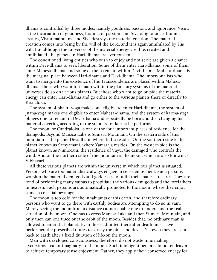dhama is controlled by three modes, namely goodness, passion, and ignorance. Visnu is the incarnation of goodness, Brahma of passion, and Siva of ignorance. Brahma creates, Visnu maintains, and Siva destroys the material creation. The material creation comes into being by the will of the Lord, and it is again annihilated by His will. But although the universes of the material energy are thus created and annihilated, the planets in Hari-dhama are ever existent.

 The conditioned living entities who wish to enjoy and not serve are given a chance within Devi-dhama to seek liberation. Some of them enter Hari-dhama, some of them enter Mahesa-dhama, and some of them remain within Devi-dhama. Mahesa-dhama is the marginal place between Hari-dhama and Devi-dhama. The impersonalists who want to merge into the existence of the Transcendence are placed within Mahesadhama. Those who want to remain within the planetary systems of the material universes do so on various planets. But those who want to go outside the material energy can enter Hari-dhama and go either to the various planets there or directly to Krsnaloka.

 The system of bhakti-yoga makes one eligible to enter Hari-dhama, the system of jnana-yoga makes one eligible to enter Mahesa-dhama, and the system of karma-yoga obliges one to remain in Devi-dhama and repeatedly be born and die, changing his material covering according to the standard of karma he performs.

 The moon, or Candraloka, is one of the four important places of residence for the demigods. Beyond Manasa Lake is Sumeru Mountain. On the eastern side of this mountain is the planet Devadhani, where Indra resides. On the southern side is the planet known as Samyamani, where Yamaraja resides. On the western side is the planet known as Nimlocani, the residence of Vayu, the demigod who controls the wind. And on the northern side of the mountain is the moon, which is also known as Vibhavari.

 All these various planets are within the universe in which our planet is situated. Persons who are too materialistic always engage in sense enjoyment. Such persons worship the material demigods and goddesses to fulfill their material desires. They are fond of performing many yajnas to propitiate the various demigods and the forefathers in heaven. Such persons are automatically promoted to the moon, where they enjoy soma, a celestial beverage.

 The moon is too cold for the inhabitants of this earth, and therefore ordinary persons who want to go there with earthly bodies are attempting to do so in vain. Merely seeing the moon from a distance cannot enable one to understand the real situation of the moon. One has to cross Manasa Lake and then Sumeru Mountain, and only then can one trace out the orbit of the moon. Besides that, no ordinary man is allowed to enter that planet. Even those admitted there after death must have performed the prescribed duties to satisfy the pitas and devas. Yet even they are sent back to earth after a fixed duration of life-on the moon.

 Men with developed consciousness, therefore, do not waste time making excursions, real or imaginary, to the moon. Such intelligent persons do not endeavor to achieve temporary sense enjoyment. Rather, they apply their conserved energy for